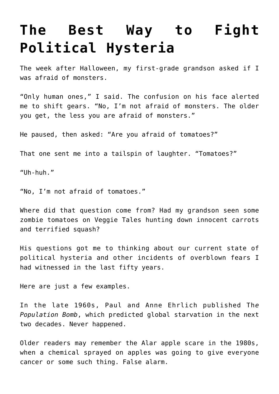## **[The Best Way to Fight](https://intellectualtakeout.org/2018/11/the-best-way-to-fight-political-hysteria/) [Political Hysteria](https://intellectualtakeout.org/2018/11/the-best-way-to-fight-political-hysteria/)**

The week after Halloween, my first-grade grandson asked if I was afraid of monsters.

"Only human ones," I said. The confusion on his face alerted me to shift gears. "No, I'm not afraid of monsters. The older you get, the less you are afraid of monsters."

He paused, then asked: "Are you afraid of tomatoes?"

That one sent me into a tailspin of laughter. "Tomatoes?"

"Uh-huh."

"No, I'm not afraid of tomatoes."

Where did that question come from? Had my grandson seen some zombie tomatoes on Veggie Tales hunting down innocent carrots and terrified squash?

His questions got me to thinking about our current state of political hysteria and other incidents of overblown fears I had witnessed in the last fifty years.

Here are just a few examples.

In the late 1960s, Paul and Anne Ehrlich published Th*e Population Bomb*, which predicted global starvation in the next two decades. Never happened.

Older readers may remember the Alar apple scare in the 1980s, when a chemical sprayed on apples was going to give everyone cancer or some such thing. False alarm.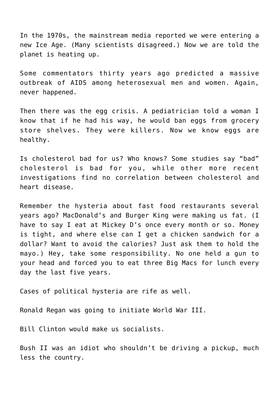In the 1970s, the mainstream media reported we were entering a new Ice Age. (Many scientists disagreed.) Now we are told the planet is heating up.

Some commentators thirty years ago predicted a massive outbreak of AIDS among heterosexual men and women. Again, never happened.

Then there was the egg crisis. A pediatrician told a woman I know that if he had his way, he would ban eggs from grocery store shelves. They were killers. Now we know eggs are healthy.

Is cholesterol bad for us? Who knows? Some studies say "bad" cholesterol is bad for you, while other more recent investigations find no correlation between cholesterol and heart disease.

Remember the hysteria about fast food restaurants several years ago? MacDonald's and Burger King were making us fat. (I have to say I eat at Mickey D's once every month or so. Money is tight, and where else can I get a chicken sandwich for a dollar? Want to avoid the calories? Just ask them to hold the mayo.) Hey, take some responsibility. No one held a gun to your head and forced you to eat three Big Macs for lunch every day the last five years.

Cases of political hysteria are rife as well.

Ronald Regan was going to initiate World War III.

Bill Clinton would make us socialists.

Bush II was an idiot who shouldn't be driving a pickup, much less the country.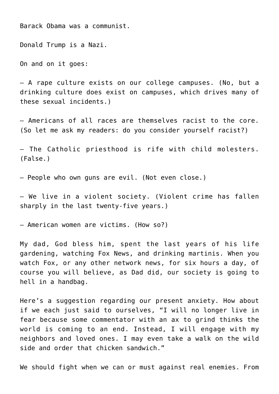Barack Obama was a communist.

Donald Trump is a Nazi.

On and on it goes:

– A rape culture exists on our college campuses. (No, but a drinking culture does exist on campuses, which drives many of these sexual incidents.)

– Americans of all races are themselves racist to the core. (So let me ask my readers: do you consider yourself racist?)

– The Catholic priesthood is rife with child molesters. (False.)

– People who own guns are evil. (Not even close.)

– We live in a violent society. (Violent crime has fallen sharply in the last twenty-five years.)

– American women are victims. (How so?)

My dad, God bless him, spent the last years of his life gardening, watching Fox News, and drinking martinis. When you watch Fox, or any other network news, for six hours a day, of course you will believe, as Dad did, our society is going to hell in a handbag.

Here's a suggestion regarding our present anxiety. How about if we each just said to ourselves, "I will no longer live in fear because some commentator with an ax to grind thinks the world is coming to an end. Instead, I will engage with my neighbors and loved ones. I may even take a walk on the wild side and order that chicken sandwich."

We should fight when we can or must against real enemies. From